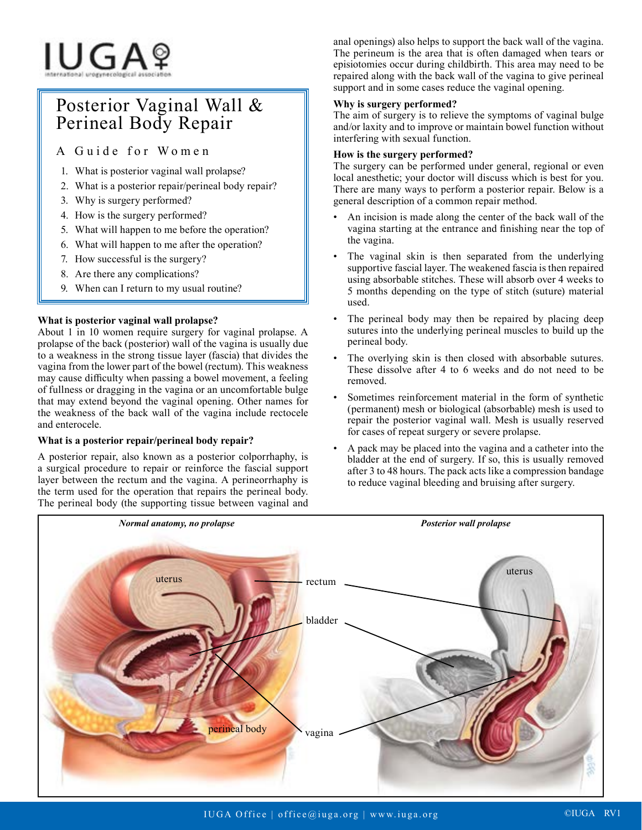# IUGAº

# Posterior Vaginal Wall & Perineal Body Repair

A Guide for Women

- 1. What is posterior vaginal wall prolapse?
- 2. What is a posterior repair/perineal body repair?
- 3. Why is surgery performed?
- 4. How is the surgery performed?
- 5. What will happen to me before the operation?
- 6. What will happen to me after the operation?
- 7. How successful is the surgery?
- 8. Are there any complications?
- 9. When can I return to my usual routine?

# **What is posterior vaginal wall prolapse?**

About 1 in 10 women require surgery for vaginal prolapse. A prolapse of the back (posterior) wall of the vagina is usually due to a weakness in the strong tissue layer (fascia) that divides the vagina from the lower part of the bowel (rectum). This weakness may cause difficulty when passing a bowel movement, a feeling of fullness or dragging in the vagina or an uncomfortable bulge that may extend beyond the vaginal opening. Other names for the weakness of the back wall of the vagina include rectocele and enterocele.

# **What is a posterior repair/perineal body repair?**

A posterior repair, also known as a posterior colporrhaphy, is a surgical procedure to repair or reinforce the fascial support layer between the rectum and the vagina. A perineorrhaphy is the term used for the operation that repairs the perineal body. The perineal body (the supporting tissue between vaginal and

anal openings) also helps to support the back wall of the vagina. The perineum is the area that is often damaged when tears or episiotomies occur during childbirth. This area may need to be repaired along with the back wall of the vagina to give perineal support and in some cases reduce the vaginal opening.

# **Why is surgery performed?**

The aim of surgery is to relieve the symptoms of vaginal bulge and/or laxity and to improve or maintain bowel function without interfering with sexual function.

# **How is the surgery performed?**

The surgery can be performed under general, regional or even local anesthetic; your doctor will discuss which is best for you. There are many ways to perform a posterior repair. Below is a general description of a common repair method.

- An incision is made along the center of the back wall of the vagina starting at the entrance and finishing near the top of the vagina.
- The vaginal skin is then separated from the underlying supportive fascial layer. The weakened fascia is then repaired using absorbable stitches. These will absorb over 4 weeks to 5 months depending on the type of stitch (suture) material used.
- The perineal body may then be repaired by placing deep sutures into the underlying perineal muscles to build up the perineal body.
- The overlying skin is then closed with absorbable sutures. These dissolve after 4 to 6 weeks and do not need to be removed.
- Sometimes reinforcement material in the form of synthetic (permanent) mesh or biological (absorbable) mesh is used to repair the posterior vaginal wall. Mesh is usually reserved for cases of repeat surgery or severe prolapse.
- A pack may be placed into the vagina and a catheter into the bladder at the end of surgery. If so, this is usually removed after 3 to 48 hours. The pack acts like a compression bandage to reduce vaginal bleeding and bruising after surgery.

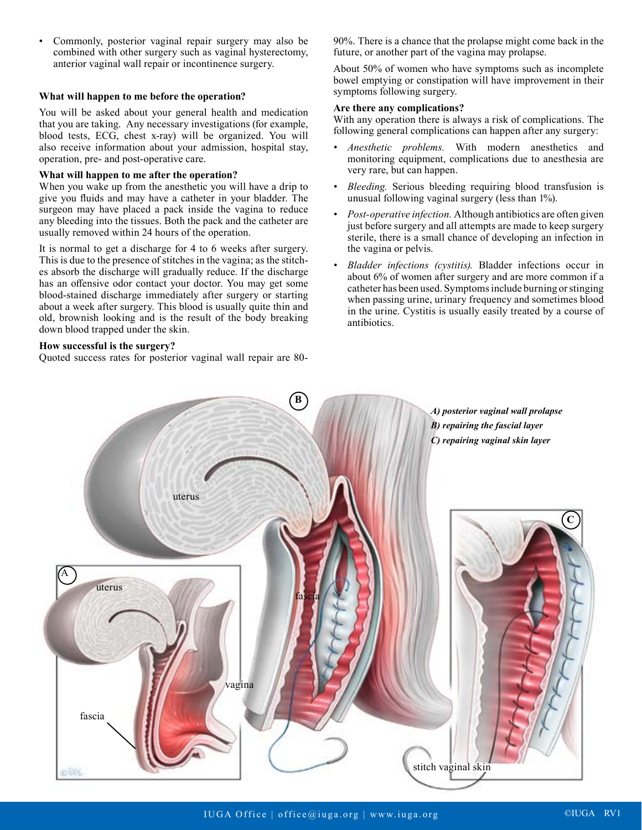• Commonly, posterior vaginal repair surgery may also be combined with other surgery such as vaginal hysterectomy, anterior vaginal wall repair or incontinence surgery.

#### **What will happen to me before the operation?**

You will be asked about your general health and medication that you are taking. Any necessary investigations (for example, blood tests, ECG, chest x-ray) will be organized. You will also receive information about your admission, hospital stay, operation, pre- and post-operative care.

#### **What will happen to me after the operation?**

When you wake up from the anesthetic you will have a drip to give you fluids and may have a catheter in your bladder. The surgeon may have placed a pack inside the vagina to reduce any bleeding into the tissues. Both the pack and the catheter are usually removed within 24 hours of the operation.

It is normal to get a discharge for 4 to 6 weeks after surgery. This is due to the presence of stitches in the vagina; as the stitches absorb the discharge will gradually reduce. If the discharge has an offensive odor contact your doctor. You may get some blood-stained discharge immediately after surgery or starting about a week after surgery. This blood is usually quite thin and old, brownish looking and is the result of the body breaking down blood trapped under the skin.

### **How successful is the surgery?**

Quoted success rates for posterior vaginal wall repair are 80-

90%. There is a chance that the prolapse might come back in the future, or another part of the vagina may prolapse.

About 50% of women who have symptoms such as incomplete bowel emptying or constipation will have improvement in their symptoms following surgery.

#### **Are there any complications?**

With any operation there is always a risk of complications. The following general complications can happen after any surgery:

- *• Anesthetic problems.* With modern anesthetics and monitoring equipment, complications due to anesthesia are very rare, but can happen.
- *• Bleeding.* Serious bleeding requiring blood transfusion is unusual following vaginal surgery (less than 1%).
- *• Post-operative infection.* Although antibiotics are often given just before surgery and all attempts are made to keep surgery sterile, there is a small chance of developing an infection in the vagina or pelvis.
- *• Bladder infections (cystitis).* Bladder infections occur in about 6% of women after surgery and are more common if a catheter has been used. Symptoms include burning or stinging when passing urine, urinary frequency and sometimes blood in the urine. Cystitis is usually easily treated by a course of antibiotics.